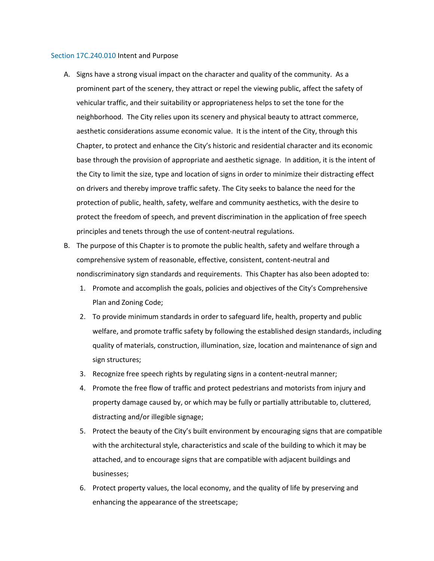#### [Section 17C.240.010](https://my.spokanecity.org/smc/?Section=17C.240.010) Intent and Purpose

- A. Signs have a strong visual impact on the character and quality of the community. As a prominent part of the scenery, they attract or repel the viewing public, affect the safety of vehicular traffic, and their suitability or appropriateness helps to set the tone for the neighborhood. The City relies upon its scenery and physical beauty to attract commerce, aesthetic considerations assume economic value. It is the intent of the City, through this Chapter, to protect and enhance the City's historic and residential character and its economic base through the provision of appropriate and aesthetic signage. In addition, it is the intent of the City to limit the size, type and location of signs in order to minimize their distracting effect on drivers and thereby improve traffic safety. The City seeks to balance the need for the protection of public, health, safety, welfare and community aesthetics, with the desire to protect the freedom of speech, and prevent discrimination in the application of free speech principles and tenets through the use of content-neutral regulations.
- B. The purpose of this Chapter is to promote the public health, safety and welfare through a comprehensive system of reasonable, effective, consistent, content-neutral and nondiscriminatory sign standards and requirements. This Chapter has also been adopted to:
	- 1. Promote and accomplish the goals, policies and objectives of the City's Comprehensive Plan and Zoning Code;
	- 2. To provide minimum standards in order to safeguard life, health, property and public welfare, and promote traffic safety by following the established design standards, including quality of materials, construction, illumination, size, location and maintenance of sign and sign structures;
	- 3. Recognize free speech rights by regulating signs in a content-neutral manner;
	- 4. Promote the free flow of traffic and protect pedestrians and motorists from injury and property damage caused by, or which may be fully or partially attributable to, cluttered, distracting and/or illegible signage;
	- 5. Protect the beauty of the City's built environment by encouraging signs that are compatible with the architectural style, characteristics and scale of the building to which it may be attached, and to encourage signs that are compatible with adjacent buildings and businesses;
	- 6. Protect property values, the local economy, and the quality of life by preserving and enhancing the appearance of the streetscape;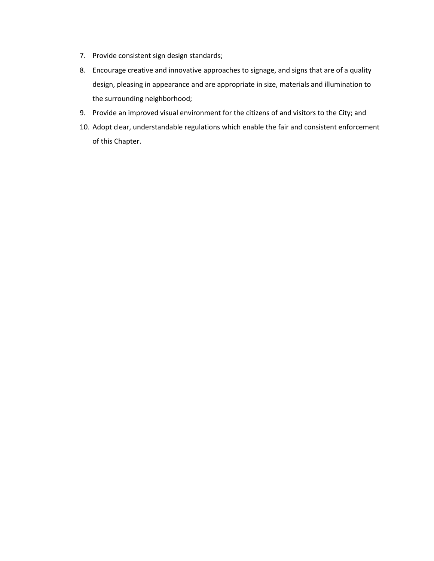- 7. Provide consistent sign design standards;
- 8. Encourage creative and innovative approaches to signage, and signs that are of a quality design, pleasing in appearance and are appropriate in size, materials and illumination to the surrounding neighborhood;
- 9. Provide an improved visual environment for the citizens of and visitors to the City; and
- 10. Adopt clear, understandable regulations which enable the fair and consistent enforcement of this Chapter.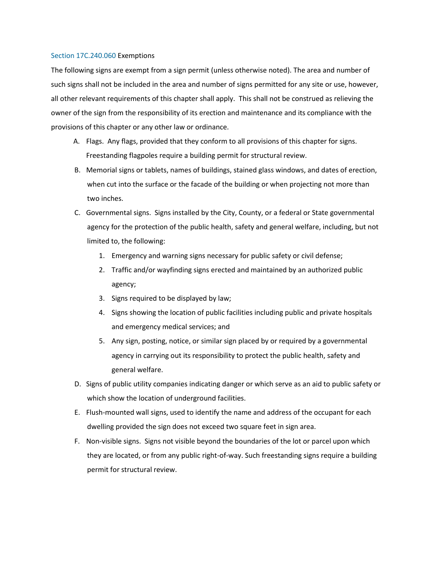### [Section 17C.240.060](https://my.spokanecity.org/smc/?Section=17C.240.060) Exemptions

The following signs are exempt from a sign permit (unless otherwise noted). The area and number of such signs shall not be included in the area and number of signs permitted for any site or use, however, all other relevant requirements of this chapter shall apply. This shall not be construed as relieving the owner of the sign from the responsibility of its erection and maintenance and its compliance with the provisions of this chapter or any other law or ordinance.

- A. Flags. Any flags, provided that they conform to all provisions of this chapter for signs. Freestanding flagpoles require a building permit for structural review.
- B. Memorial signs or tablets, names of buildings, stained glass windows, and dates of erection, when cut into the surface or the facade of the building or when projecting not more than two inches.
- C. Governmental signs. Signs installed by the City, County, or a federal or State governmental agency for the protection of the public health, safety and general welfare, including, but not limited to, the following:
	- 1. Emergency and warning signs necessary for public safety or civil defense;
	- 2. Traffic and/or wayfinding signs erected and maintained by an authorized public agency;
	- 3. Signs required to be displayed by law;
	- 4. Signs showing the location of public facilities including public and private hospitals and emergency medical services; and
	- 5. Any sign, posting, notice, or similar sign placed by or required by a governmental agency in carrying out its responsibility to protect the public health, safety and general welfare.
- D. Signs of public utility companies indicating danger or which serve as an aid to public safety or which show the location of underground facilities.
- E. Flush-mounted wall signs, used to identify the name and address of the occupant for each dwelling provided the sign does not exceed two square feet in sign area.
- F. Non-visible signs. Signs not visible beyond the boundaries of the lot or parcel upon which they are located, or from any public right-of-way. Such freestanding signs require a building permit for structural review.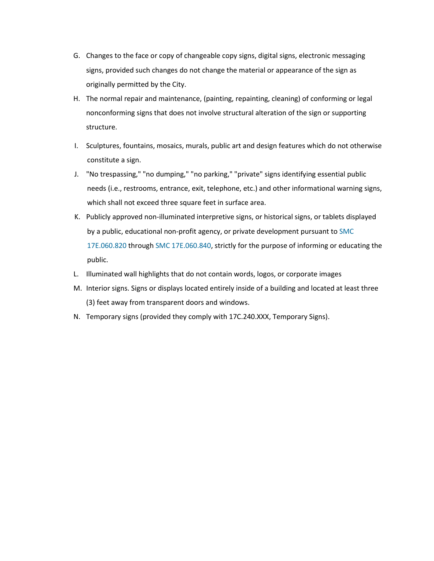- G. Changes to the face or copy of changeable copy signs, digital signs, electronic messaging signs, provided such changes do not change the material or appearance of the sign as originally permitted by the City.
- H. The normal repair and maintenance, (painting, repainting, cleaning) of conforming or legal nonconforming signs that does not involve structural alteration of the sign or supporting structure.
- I. Sculptures, fountains, mosaics, murals, public art and design features which do not otherwise constitute a sign.
- J. "No trespassing," "no dumping," "no parking," "private" signs identifying essential public needs (i.e., restrooms, entrance, exit, telephone, etc.) and other informational warning signs, which shall not exceed three square feet in surface area.
- K. Publicly approved non-illuminated interpretive signs, or historical signs, or tablets displayed by a public, educational non-profit agency, or private development pursuant to [SMC](https://my.spokanecity.org/smc/?Section=17E.060.830)  [17E.060.820](https://my.spokanecity.org/smc/?Section=17E.060.830) throug[h SMC 17E.060.840,](https://my.spokanecity.org/smc/?Section=17E.060.840) strictly for the purpose of informing or educating the public.
- L. Illuminated wall highlights that do not contain words, logos, or corporate images
- M. Interior signs. Signs or displays located entirely inside of a building and located at least three (3) feet away from transparent doors and windows.
- N. Temporary signs (provided they comply with 17C.240.XXX, Temporary Signs).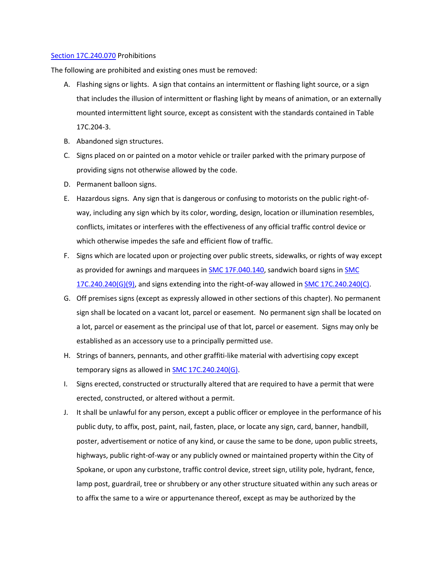### [Section 17C.240.070](https://my.spokanecity.org/smc/?Section=17C.240.070) Prohibitions

The following are prohibited and existing ones must be removed:

- A. Flashing signs or lights. A sign that contains an intermittent or flashing light source, or a sign that includes the illusion of intermittent or flashing light by means of animation, or an externally mounted intermittent light source, except as consistent with the standards contained in Table 17C.204-3.
- B. Abandoned sign structures.
- C. Signs placed on or painted on a motor vehicle or trailer parked with the primary purpose of providing signs not otherwise allowed by the code.
- D. Permanent balloon signs.
- E. Hazardous signs. Any sign that is dangerous or confusing to motorists on the public right-ofway, including any sign which by its color, wording, design, location or illumination resembles, conflicts, imitates or interferes with the effectiveness of any official traffic control device or which otherwise impedes the safe and efficient flow of traffic.
- F. Signs which are located upon or projecting over public streets, sidewalks, or rights of way except as provided for awnings and marquees i[n SMC 17F.040.140,](https://my.spokanecity.org/smc/?Section=17F.040.140) sandwich board signs i[n SMC](https://my.spokanecity.org/smc/?Section=17C.240.240)  [17C.240.240\(G\)\(9\),](https://my.spokanecity.org/smc/?Section=17C.240.240) and signs extending into the right-of-way allowed i[n SMC 17C.240.240\(C\).](https://my.spokanecity.org/smc/?Section=17C.240.240)
- G. Off premises signs (except as expressly allowed in other sections of this chapter). No permanent sign shall be located on a vacant lot, parcel or easement. No permanent sign shall be located on a lot, parcel or easement as the principal use of that lot, parcel or easement. Signs may only be established as an accessory use to a principally permitted use.
- H. Strings of banners, pennants, and other graffiti-like material with advertising copy except temporary signs as allowed in [SMC 17C.240.240\(G\).](https://my.spokanecity.org/smc/?Section=17C.240.240)
- I. Signs erected, constructed or structurally altered that are required to have a permit that were erected, constructed, or altered without a permit.
- J. It shall be unlawful for any person, except a public officer or employee in the performance of his public duty, to affix, post, paint, nail, fasten, place, or locate any sign, card, banner, handbill, poster, advertisement or notice of any kind, or cause the same to be done, upon public streets, highways, public right-of-way or any publicly owned or maintained property within the City of Spokane, or upon any curbstone, traffic control device, street sign, utility pole, hydrant, fence, lamp post, guardrail, tree or shrubbery or any other structure situated within any such areas or to affix the same to a wire or appurtenance thereof, except as may be authorized by the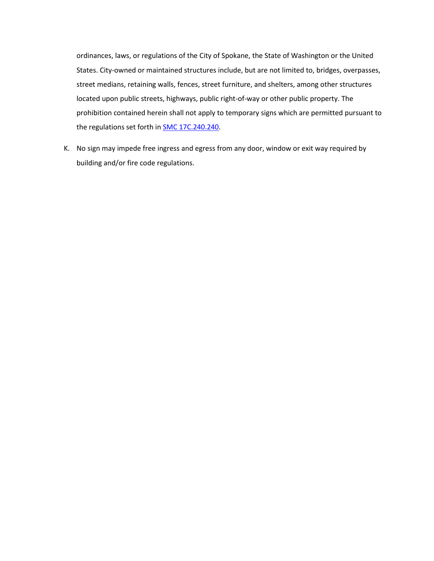ordinances, laws, or regulations of the City of Spokane, the State of Washington or the United States. City-owned or maintained structures include, but are not limited to, bridges, overpasses, street medians, retaining walls, fences, street furniture, and shelters, among other structures located upon public streets, highways, public right-of-way or other public property. The prohibition contained herein shall not apply to temporary signs which are permitted pursuant to the regulations set forth in **SMC 17C.240.240.** 

K. No sign may impede free ingress and egress from any door, window or exit way required by building and/or fire code regulations.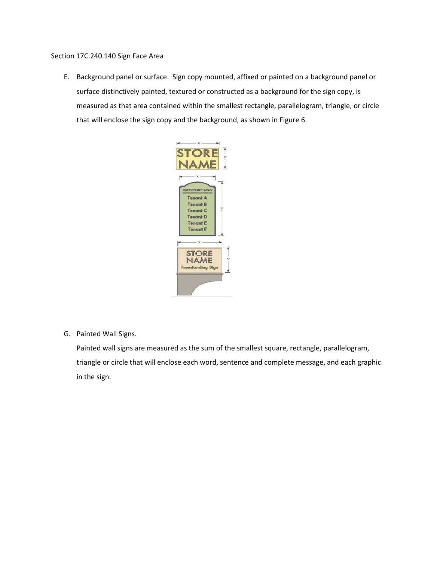Section 17C.240.140 Sign Face Area

E. Background panel or surface. Sign copy mounted, affixed or painted on a background panel or surface distinctively painted, textured or constructed as a background for the sign copy, is measured as that area contained within the smallest rectangle, parallelogram, triangle, or circle that will enclose the sign copy and the background, as shown in Figure 6.



G. Painted Wall Signs.

Painted wall signs are measured as the sum of the smallest square, rectangle, parallelogram, triangle or circle that will enclose each word, sentence and complete message, and each graphic in the sign.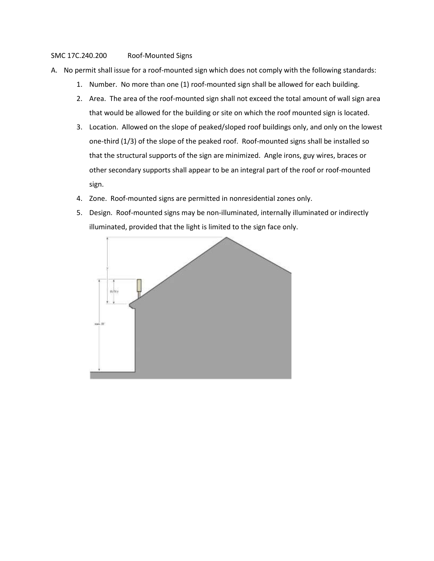# SMC 17C.240.200 Roof-Mounted Signs

- A. No permit shall issue for a roof-mounted sign which does not comply with the following standards:
	- 1. Number. No more than one (1) roof-mounted sign shall be allowed for each building.
	- 2. Area. The area of the roof-mounted sign shall not exceed the total amount of wall sign area that would be allowed for the building or site on which the roof mounted sign is located.
	- 3. Location. Allowed on the slope of peaked/sloped roof buildings only, and only on the lowest one-third (1/3) of the slope of the peaked roof. Roof-mounted signs shall be installed so that the structural supports of the sign are minimized. Angle irons, guy wires, braces or other secondary supports shall appear to be an integral part of the roof or roof-mounted sign.
	- 4. Zone. Roof-mounted signs are permitted in nonresidential zones only.
	- 5. Design. Roof-mounted signs may be non-illuminated, internally illuminated or indirectly illuminated, provided that the light is limited to the sign face only.

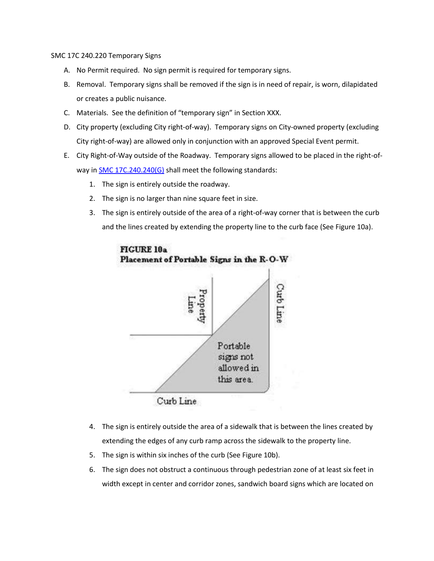SMC 17C 240.220 Temporary Signs

- A. No Permit required. No sign permit is required for temporary signs.
- B. Removal. Temporary signs shall be removed if the sign is in need of repair, is worn, dilapidated or creates a public nuisance.
- C. Materials. See the definition of "temporary sign" in Section XXX.
- D. City property (excluding City right-of-way). Temporary signs on City-owned property (excluding City right-of-way) are allowed only in conjunction with an approved Special Event permit.
- E. City Right-of-Way outside of the Roadway. Temporary signs allowed to be placed in the right-ofway in **SMC 17C.240.240(G)** shall meet the following standards:
	- 1. The sign is entirely outside the roadway.
	- 2. The sign is no larger than nine square feet in size.
	- 3. The sign is entirely outside of the area of a right-of-way corner that is between the curb and the lines created by extending the property line to the curb face (See Figure 10a).



**FIGURE 10a** Placement of Portable Signs in the R-O-W

- 4. The sign is entirely outside the area of a sidewalk that is between the lines created by extending the edges of any curb ramp across the sidewalk to the property line.
- 5. The sign is within six inches of the curb (See Figure 10b).
- 6. The sign does not obstruct a continuous through pedestrian zone of at least six feet in width except in center and corridor zones, sandwich board signs which are located on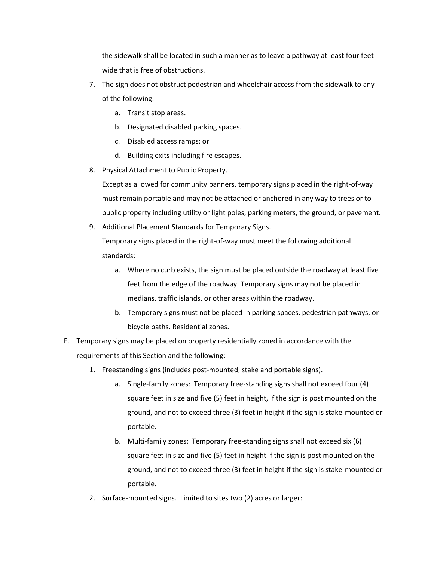the sidewalk shall be located in such a manner as to leave a pathway at least four feet wide that is free of obstructions.

- 7. The sign does not obstruct pedestrian and wheelchair access from the sidewalk to any of the following:
	- a. Transit stop areas.
	- b. Designated disabled parking spaces.
	- c. Disabled access ramps; or
	- d. Building exits including fire escapes.
- 8. Physical Attachment to Public Property.

Except as allowed for community banners, temporary signs placed in the right-of-way must remain portable and may not be attached or anchored in any way to trees or to public property including utility or light poles, parking meters, the ground, or pavement.

9. Additional Placement Standards for Temporary Signs.

Temporary signs placed in the right-of-way must meet the following additional standards:

- a. Where no curb exists, the sign must be placed outside the roadway at least five feet from the edge of the roadway. Temporary signs may not be placed in medians, traffic islands, or other areas within the roadway.
- b. Temporary signs must not be placed in parking spaces, pedestrian pathways, or bicycle paths. Residential zones.
- F. Temporary signs may be placed on property residentially zoned in accordance with the requirements of this Section and the following:
	- 1. Freestanding signs (includes post-mounted, stake and portable signs).
		- a. Single-family zones: Temporary free-standing signs shall not exceed four (4) square feet in size and five (5) feet in height, if the sign is post mounted on the ground, and not to exceed three (3) feet in height if the sign is stake-mounted or portable.
		- b. Multi-family zones: Temporary free-standing signs shall not exceed six (6) square feet in size and five (5) feet in height if the sign is post mounted on the ground, and not to exceed three (3) feet in height if the sign is stake-mounted or portable.
	- 2. Surface-mounted signs*.* Limited to sites two (2) acres or larger: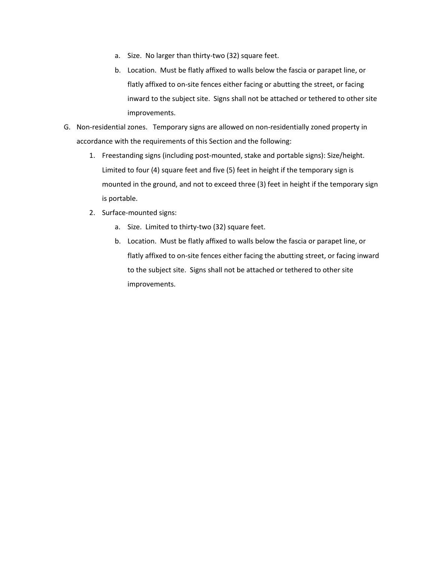- a. Size. No larger than thirty-two (32) square feet.
- b. Location. Must be flatly affixed to walls below the fascia or parapet line, or flatly affixed to on-site fences either facing or abutting the street, or facing inward to the subject site. Signs shall not be attached or tethered to other site improvements.
- G. Non-residential zones. Temporary signs are allowed on non-residentially zoned property in accordance with the requirements of this Section and the following:
	- 1. Freestanding signs (including post-mounted, stake and portable signs): Size/height. Limited to four (4) square feet and five (5) feet in height if the temporary sign is mounted in the ground, and not to exceed three (3) feet in height if the temporary sign is portable.
	- 2. Surface-mounted signs:
		- a. Size. Limited to thirty-two (32) square feet.
		- b. Location. Must be flatly affixed to walls below the fascia or parapet line, or flatly affixed to on-site fences either facing the abutting street, or facing inward to the subject site. Signs shall not be attached or tethered to other site improvements.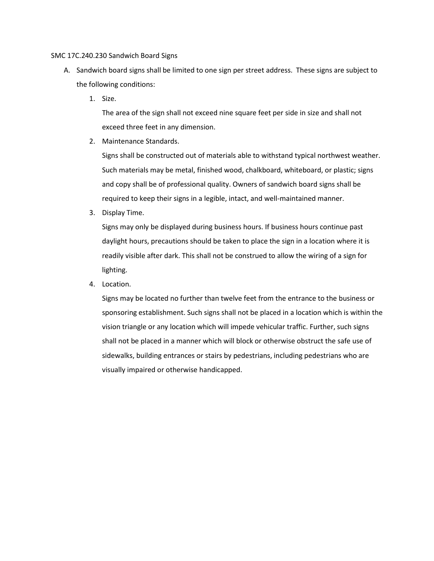### SMC 17C.240.230 Sandwich Board Signs

- A. Sandwich board signs shall be limited to one sign per street address. These signs are subject to the following conditions:
	- 1. Size.

The area of the sign shall not exceed nine square feet per side in size and shall not exceed three feet in any dimension.

2. Maintenance Standards.

Signs shall be constructed out of materials able to withstand typical northwest weather. Such materials may be metal, finished wood, chalkboard, whiteboard, or plastic; signs and copy shall be of professional quality. Owners of sandwich board signs shall be required to keep their signs in a legible, intact, and well-maintained manner.

3. Display Time.

Signs may only be displayed during business hours. If business hours continue past daylight hours, precautions should be taken to place the sign in a location where it is readily visible after dark. This shall not be construed to allow the wiring of a sign for lighting.

4. Location.

Signs may be located no further than twelve feet from the entrance to the business or sponsoring establishment. Such signs shall not be placed in a location which is within the vision triangle or any location which will impede vehicular traffic. Further, such signs shall not be placed in a manner which will block or otherwise obstruct the safe use of sidewalks, building entrances or stairs by pedestrians, including pedestrians who are visually impaired or otherwise handicapped.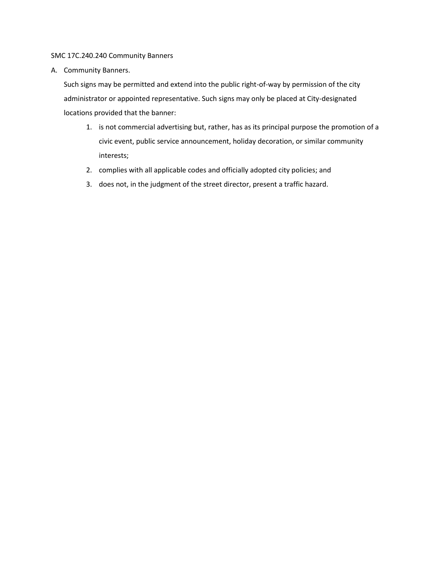# SMC 17C.240.240 Community Banners

A. Community Banners.

Such signs may be permitted and extend into the public right-of-way by permission of the city administrator or appointed representative. Such signs may only be placed at City-designated locations provided that the banner:

- 1. is not commercial advertising but, rather, has as its principal purpose the promotion of a civic event, public service announcement, holiday decoration, or similar community interests;
- 2. complies with all applicable codes and officially adopted city policies; and
- 3. does not, in the judgment of the street director, present a traffic hazard.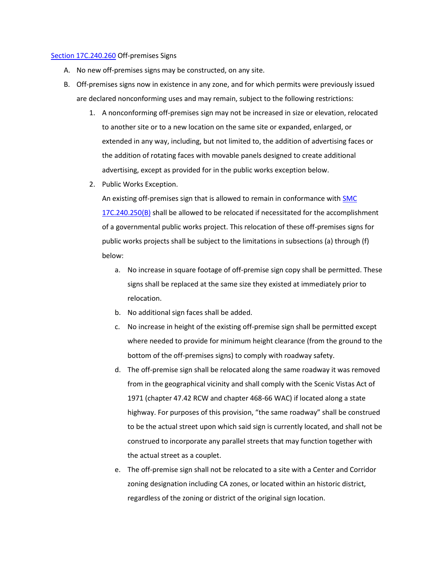#### [Section 17C.240.260](https://my.spokanecity.org/smc/?Section=17C.240.250) Off-premises Signs

- A. No new off-premises signs may be constructed, on any site.
- B. Off-premises signs now in existence in any zone, and for which permits were previously issued are declared nonconforming uses and may remain, subject to the following restrictions:
	- 1. A nonconforming off-premises sign may not be increased in size or elevation, relocated to another site or to a new location on the same site or expanded, enlarged, or extended in any way, including, but not limited to, the addition of advertising faces or the addition of rotating faces with movable panels designed to create additional advertising, except as provided for in the public works exception below.
	- 2. Public Works Exception.

An existing off-premises sign that is allowed to remain in conformance with [SMC](https://my.spokanecity.org/smc/?Section=17C.240.250)  [17C.240.250\(B\)](https://my.spokanecity.org/smc/?Section=17C.240.250) shall be allowed to be relocated if necessitated for the accomplishment of a governmental public works project. This relocation of these off-premises signs for public works projects shall be subject to the limitations in subsections (a) through (f) below:

- a. No increase in square footage of off-premise sign copy shall be permitted. These signs shall be replaced at the same size they existed at immediately prior to relocation.
- b. No additional sign faces shall be added.
- c. No increase in height of the existing off-premise sign shall be permitted except where needed to provide for minimum height clearance (from the ground to the bottom of the off-premises signs) to comply with roadway safety.
- d. The off-premise sign shall be relocated along the same roadway it was removed from in the geographical vicinity and shall comply with the Scenic Vistas Act of 1971 (chapter 47.42 RCW and chapter 468-66 WAC) if located along a state highway. For purposes of this provision, "the same roadway" shall be construed to be the actual street upon which said sign is currently located, and shall not be construed to incorporate any parallel streets that may function together with the actual street as a couplet.
- e. The off-premise sign shall not be relocated to a site with a Center and Corridor zoning designation including CA zones, or located within an historic district, regardless of the zoning or district of the original sign location.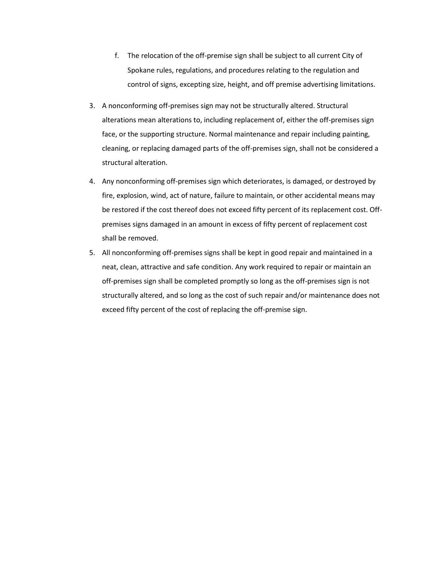- f. The relocation of the off-premise sign shall be subject to all current City of Spokane rules, regulations, and procedures relating to the regulation and control of signs, excepting size, height, and off premise advertising limitations.
- 3. A nonconforming off-premises sign may not be structurally altered. Structural alterations mean alterations to, including replacement of, either the off-premises sign face, or the supporting structure. Normal maintenance and repair including painting, cleaning, or replacing damaged parts of the off-premises sign, shall not be considered a structural alteration.
- 4. Any nonconforming off-premises sign which deteriorates, is damaged, or destroyed by fire, explosion, wind, act of nature, failure to maintain, or other accidental means may be restored if the cost thereof does not exceed fifty percent of its replacement cost. Offpremises signs damaged in an amount in excess of fifty percent of replacement cost shall be removed.
- 5. All nonconforming off-premises signs shall be kept in good repair and maintained in a neat, clean, attractive and safe condition. Any work required to repair or maintain an off-premises sign shall be completed promptly so long as the off-premises sign is not structurally altered, and so long as the cost of such repair and/or maintenance does not exceed fifty percent of the cost of replacing the off-premise sign.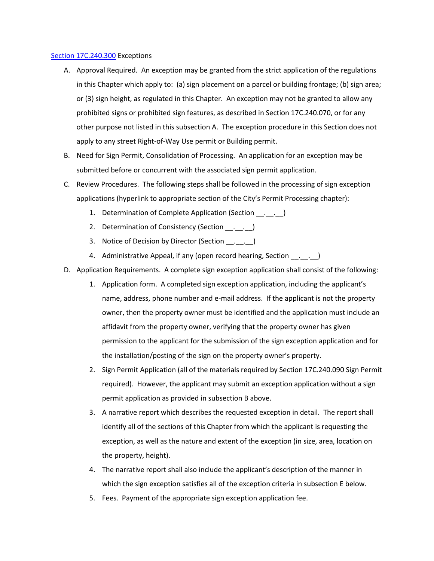## [Section 17C.240.300](https://my.spokanecity.org/smc/?Section=17C.240.290) Exceptions

- A. Approval Required. An exception may be granted from the strict application of the regulations in this Chapter which apply to: (a) sign placement on a parcel or building frontage; (b) sign area; or (3) sign height, as regulated in this Chapter. An exception may not be granted to allow any prohibited signs or prohibited sign features, as described in Section 17C.240.070, or for any other purpose not listed in this subsection A. The exception procedure in this Section does not apply to any street Right-of-Way Use permit or Building permit.
- B. Need for Sign Permit, Consolidation of Processing. An application for an exception may be submitted before or concurrent with the associated sign permit application.
- C. Review Procedures. The following steps shall be followed in the processing of sign exception applications (hyperlink to appropriate section of the City's Permit Processing chapter):
	- 1. Determination of Complete Application (Section \_\_. \_\_. \_\_)
	- 2. Determination of Consistency (Section \_\_\_\_\_\_\_)
	- 3. Notice of Decision by Director (Section \_\_. \_\_. \_\_)
	- 4. Administrative Appeal, if any (open record hearing, Section \_\_. \_\_. \_\_)
- D. Application Requirements. A complete sign exception application shall consist of the following:
	- 1. Application form. A completed sign exception application, including the applicant's name, address, phone number and e-mail address. If the applicant is not the property owner, then the property owner must be identified and the application must include an affidavit from the property owner, verifying that the property owner has given permission to the applicant for the submission of the sign exception application and for the installation/posting of the sign on the property owner's property.
	- 2. Sign Permit Application (all of the materials required by Section 17C.240.090 Sign Permit required). However, the applicant may submit an exception application without a sign permit application as provided in subsection B above.
	- 3. A narrative report which describes the requested exception in detail. The report shall identify all of the sections of this Chapter from which the applicant is requesting the exception, as well as the nature and extent of the exception (in size, area, location on the property, height).
	- 4. The narrative report shall also include the applicant's description of the manner in which the sign exception satisfies all of the exception criteria in subsection E below.
	- 5. Fees. Payment of the appropriate sign exception application fee.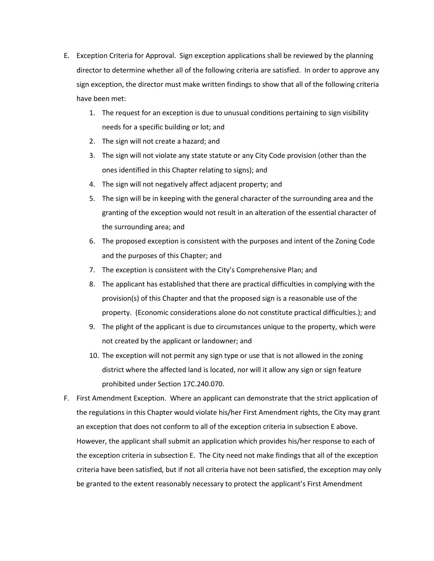- E. Exception Criteria for Approval. Sign exception applications shall be reviewed by the planning director to determine whether all of the following criteria are satisfied. In order to approve any sign exception, the director must make written findings to show that all of the following criteria have been met:
	- 1. The request for an exception is due to unusual conditions pertaining to sign visibility needs for a specific building or lot; and
	- 2. The sign will not create a hazard; and
	- 3. The sign will not violate any state statute or any City Code provision (other than the ones identified in this Chapter relating to signs); and
	- 4. The sign will not negatively affect adjacent property; and
	- 5. The sign will be in keeping with the general character of the surrounding area and the granting of the exception would not result in an alteration of the essential character of the surrounding area; and
	- 6. The proposed exception is consistent with the purposes and intent of the Zoning Code and the purposes of this Chapter; and
	- 7. The exception is consistent with the City's Comprehensive Plan; and
	- 8. The applicant has established that there are practical difficulties in complying with the provision(s) of this Chapter and that the proposed sign is a reasonable use of the property. (Economic considerations alone do not constitute practical difficulties.); and
	- 9. The plight of the applicant is due to circumstances unique to the property, which were not created by the applicant or landowner; and
	- 10. The exception will not permit any sign type or use that is not allowed in the zoning district where the affected land is located, nor will it allow any sign or sign feature prohibited under Section 17C.240.070.
- F. First Amendment Exception. Where an applicant can demonstrate that the strict application of the regulations in this Chapter would violate his/her First Amendment rights, the City may grant an exception that does not conform to all of the exception criteria in subsection E above. However, the applicant shall submit an application which provides his/her response to each of the exception criteria in subsection E. The City need not make findings that all of the exception criteria have been satisfied, but if not all criteria have not been satisfied, the exception may only be granted to the extent reasonably necessary to protect the applicant's First Amendment